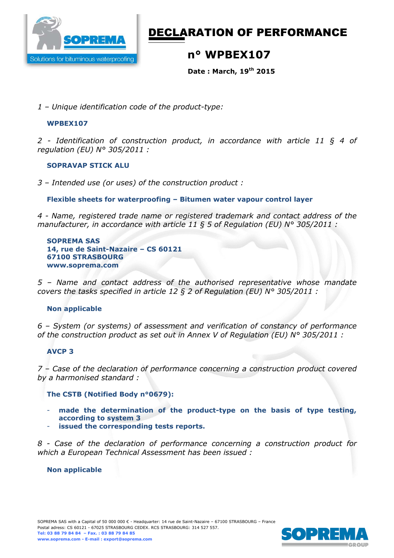

# DECLARATION OF PERFORMANCE

### **n° WPBEX107**

**Date : March, 19th 2015** 

*1 – Unique identification code of the product-type:*

#### **WPBEX107**

*2 - Identification of construction product, in accordance with article 11 § 4 of regulation (EU) N° 305/2011 :* 

#### **SOPRAVAP STICK ALU**

*3 – Intended use (or uses) of the construction product :* 

**Flexible sheets for waterproofing – Bitumen water vapour control layer** 

*4 - Name, registered trade name or registered trademark and contact address of the manufacturer, in accordance with article 11 § 5 of Regulation (EU) N° 305/2011 :* 

**SOPREMA SAS 14, rue de Saint-Nazaire – CS 60121 67100 STRASBOURG www.soprema.com** 

*5 – Name and contact address of the authorised representative whose mandate covers the tasks specified in article 12 § 2 of Regulation (EU) N° 305/2011 :* 

#### **Non applicable**

*6 – System (or systems) of assessment and verification of constancy of performance of the construction product as set out in Annex V of Regulation (EU) N° 305/2011 :* 

#### **AVCP 3**

*7 – Case of the declaration of performance concerning a construction product covered by a harmonised standard :* 

#### **The CSTB (Notified Body n°0679):**

- **made the determination of the product-type on the basis of type testing, according to system 3**
- **issued the corresponding tests reports.**

*8 - Case of the declaration of performance concerning a construction product for which a European Technical Assessment has been issued :* 

#### **Non applicable**